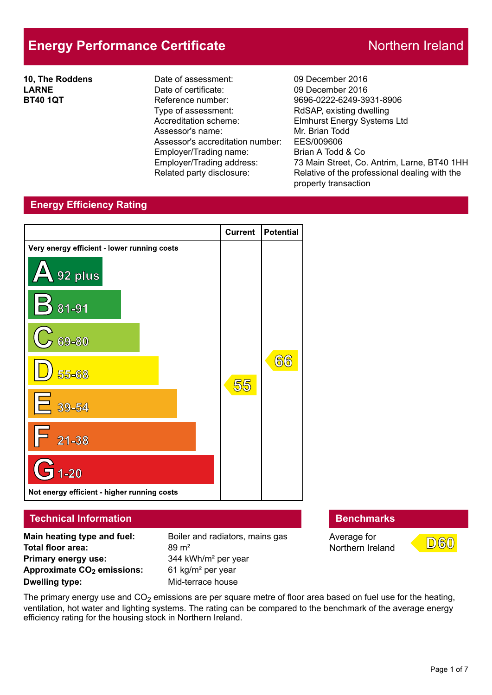# **Energy Performance Certificate** Northern Ireland

**10, The Roddens LARNE BT40 1QT**

Date of assessment: 09 December 2016 Date of certificate: 09 December 2016 Reference number: 9696-0222-6249-3931-8906 Type of assessment: RdSAP, existing dwelling Accreditation scheme: Elmhurst Energy Systems Ltd Assessor's name: Mr. Brian Todd Assessor's accreditation number: EES/009606 Employer/Trading name: Brian A Todd & Co

Employer/Trading address: 73 Main Street, Co. Antrim, Larne, BT40 1HH<br>Related party disclosure: Relative of the professional dealing with the Relative of the professional dealing with the property transaction

## **Energy Efficiency Rating**



**Primary energy use:** 344 kWh/m<sup>2</sup> per year **Approximate CO2 emissions:** 61 kg/m² per year **Dwelling type:** Mid-terrace house

Average for Northern Ireland



The primary energy use and  $CO<sub>2</sub>$  emissions are per square metre of floor area based on fuel use for the heating, ventilation, hot water and lighting systems. The rating can be compared to the benchmark of the average energy efficiency rating for the housing stock in Northern Ireland.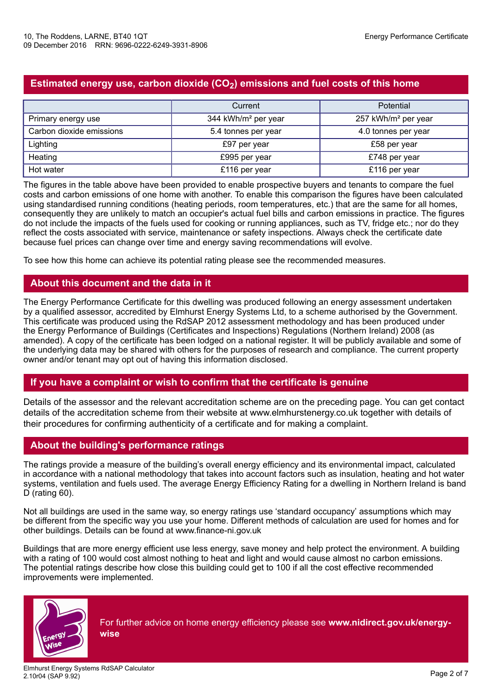## **Estimated energy use, carbon dioxide (CO2) emissions and fuel costs of this home**

|                          | Current                         | <b>Potential</b>                |
|--------------------------|---------------------------------|---------------------------------|
| Primary energy use       | 344 kWh/m <sup>2</sup> per year | 257 kWh/m <sup>2</sup> per year |
| Carbon dioxide emissions | 5.4 tonnes per year             | 4.0 tonnes per year             |
| Lighting                 | £97 per year                    | £58 per year                    |
| Heating                  | £995 per year                   | £748 per year                   |
| Hot water                | £116 per year                   | £116 per year                   |

The figures in the table above have been provided to enable prospective buyers and tenants to compare the fuel costs and carbon emissions of one home with another. To enable this comparison the figures have been calculated using standardised running conditions (heating periods, room temperatures, etc.) that are the same for all homes, consequently they are unlikely to match an occupier's actual fuel bills and carbon emissions in practice. The figures do not include the impacts of the fuels used for cooking or running appliances, such as TV, fridge etc.; nor do they reflect the costs associated with service, maintenance or safety inspections. Always check the certificate date because fuel prices can change over time and energy saving recommendations will evolve.

To see how this home can achieve its potential rating please see the recommended measures.

## **About this document and the data in it**

The Energy Performance Certificate for this dwelling was produced following an energy assessment undertaken by a qualified assessor, accredited by Elmhurst Energy Systems Ltd, to a scheme authorised by the Government. This certificate was produced using the RdSAP 2012 assessment methodology and has been produced under the Energy Performance of Buildings (Certificates and Inspections) Regulations (Northern Ireland) 2008 (as amended). A copy of the certificate has been lodged on a national register. It will be publicly available and some of the underlying data may be shared with others for the purposes of research and compliance. The current property owner and/or tenant may opt out of having this information disclosed.

## **If you have a complaint or wish to confirm that the certificate is genuine**

Details of the assessor and the relevant accreditation scheme are on the preceding page. You can get contact details of the accreditation scheme from their website at www.elmhurstenergy.co.uk together with details of their procedures for confirming authenticity of a certificate and for making a complaint.

## **About the building's performance ratings**

The ratings provide a measure of the building's overall energy efficiency and its environmental impact, calculated in accordance with a national methodology that takes into account factors such as insulation, heating and hot water systems, ventilation and fuels used. The average Energy Efficiency Rating for a dwelling in Northern Ireland is band D (rating 60).

Not all buildings are used in the same way, so energy ratings use 'standard occupancy' assumptions which may be different from the specific way you use your home. Different methods of calculation are used for homes and for other buildings. Details can be found at www.finance-ni.gov.uk

Buildings that are more energy efficient use less energy, save money and help protect the environment. A building with a rating of 100 would cost almost nothing to heat and light and would cause almost no carbon emissions. The potential ratings describe how close this building could get to 100 if all the cost effective recommended improvements were implemented.



For further advice on home energy efficiency please see **www.nidirect.gov.uk/energy-**

**wise**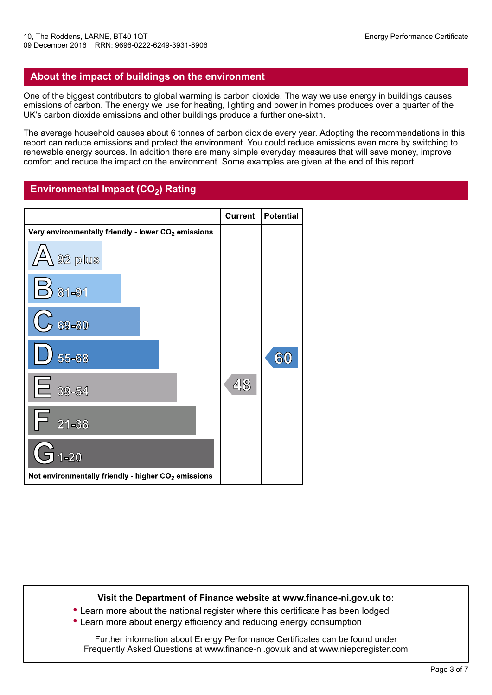## **About the impact of buildings on the environment**

One of the biggest contributors to global warming is carbon dioxide. The way we use energy in buildings causes emissions of carbon. The energy we use for heating, lighting and power in homes produces over a quarter of the UK's carbon dioxide emissions and other buildings produce a further one-sixth.

The average household causes about 6 tonnes of carbon dioxide every year. Adopting the recommendations in this report can reduce emissions and protect the environment. You could reduce emissions even more by switching to renewable energy sources. In addition there are many simple everyday measures that will save money, improve comfort and reduce the impact on the environment. Some examples are given at the end of this report.

## **Environmental Impact (CO2) Rating**



#### **Visit the Department of Finance website at www.finance-ni.gov.uk to:**

**•** Learn more about the national register where this certificate has been lodged **•** Learn more about energy efficiency and reducing energy consumption

Further information about Energy Performance Certificates can be found under Frequently Asked Questions at www.finance-ni.gov.uk and at www.niepcregister.com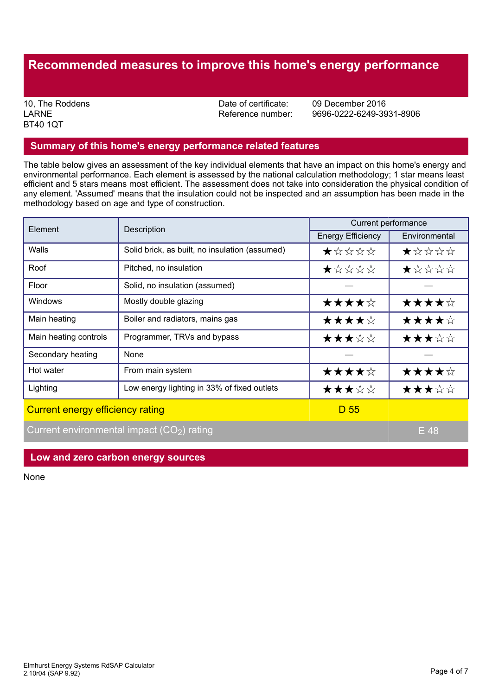## **Recommended measures to improve this home's energy performance**

LARNE BT40 1QT

10, The Roddens **10, The Roddens** 2016<br>
LARNE 19696-0222-6249-39

Reference number: 9696-0222-6249-3931-8906

#### **Summary of this home's energy performance related features**

The table below gives an assessment of the key individual elements that have an impact on this home's energy and environmental performance. Each element is assessed by the national calculation methodology; 1 star means least efficient and 5 stars means most efficient. The assessment does not take into consideration the physical condition of any element. 'Assumed' means that the insulation could not be inspected and an assumption has been made in the methodology based on age and type of construction.

| Element               | Description                                    | Current performance      |               |  |
|-----------------------|------------------------------------------------|--------------------------|---------------|--|
|                       |                                                | <b>Energy Efficiency</b> | Environmental |  |
| <b>Walls</b>          | Solid brick, as built, no insulation (assumed) | *****                    | *****         |  |
| Roof                  | Pitched, no insulation                         | ★☆☆☆☆                    | ★☆☆☆☆         |  |
| Floor                 | Solid, no insulation (assumed)                 |                          |               |  |
| Windows               | Mostly double glazing                          | ★★★★☆                    | ★★★★☆         |  |
| Main heating          | Boiler and radiators, mains gas                | ★★★★☆                    | ★★★★☆         |  |
| Main heating controls | Programmer, TRVs and bypass                    | ★★★☆☆                    | ★★★☆☆         |  |
| Secondary heating     | None                                           |                          |               |  |
| Hot water             | From main system                               | ★★★★☆                    | ★★★★☆         |  |
| Lighting              | Low energy lighting in 33% of fixed outlets    | ★★★☆☆                    | ★★★☆☆         |  |
|                       |                                                | <u>.</u>                 |               |  |

Current energy efficiency rating D 55

Current environmental impact  $(CO<sub>2</sub>)$  rating Equation Equation Figure 2.1 Figure 2.1 Figure 2.1 Figure 2.1 Figure 2.1 Figure 2.1 Figure 2.1 Figure 2.1 Figure 2.1 Figure 2.1 Figure 2.1 Figure 2.1 Figure 2.1 Figure 2.1 F

#### **Low and zero carbon energy sources**

None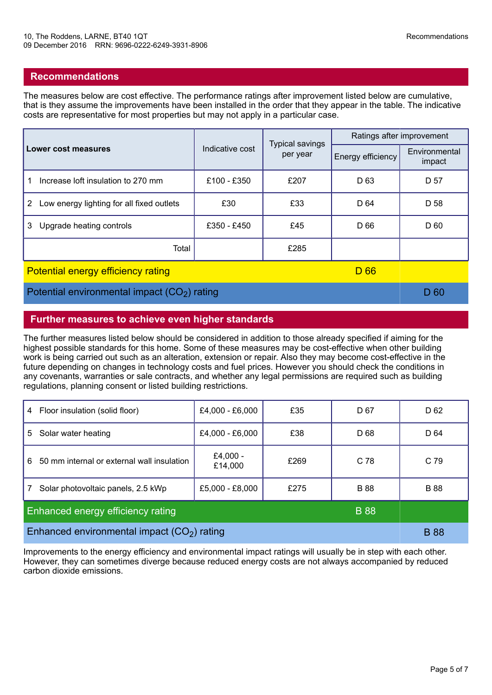## **Recommendations**

The measures below are cost effective. The performance ratings after improvement listed below are cumulative, that is they assume the improvements have been installed in the order that they appear in the table. The indicative costs are representative for most properties but may not apply in a particular case.

|                                                                   | Indicative cost | <b>Typical savings</b><br>per year | Ratings after improvement |                         |
|-------------------------------------------------------------------|-----------------|------------------------------------|---------------------------|-------------------------|
| Lower cost measures                                               |                 |                                    | Energy efficiency         | Environmental<br>impact |
| Increase loft insulation to 270 mm                                | £100 - £350     | £207                               | D <sub>63</sub>           | D 57                    |
| Low energy lighting for all fixed outlets<br>$\mathbf{2}^{\circ}$ | £30             | £33                                | D 64                      | D 58                    |
| Upgrade heating controls<br>3                                     | £350 - £450     | £45                                | D 66                      | D 60                    |
| Total                                                             |                 | £285                               |                           |                         |

#### Potential energy efficiency rating D 66 and D 66

Potential environmental impact  $(CO<sub>2</sub>)$  rating D 60

## **Further measures to achieve even higher standards**

The further measures listed below should be considered in addition to those already specified if aiming for the highest possible standards for this home. Some of these measures may be cost-effective when other building work is being carried out such as an alteration, extension or repair. Also they may become cost-effective in the future depending on changes in technology costs and fuel prices. However you should check the conditions in any covenants, warranties or sale contracts, and whether any legal permissions are required such as building regulations, planning consent or listed building restrictions.

| Floor insulation (solid floor)<br>4              | £4,000 - £6,000     | £35  | D 67        | D 62        |
|--------------------------------------------------|---------------------|------|-------------|-------------|
| Solar water heating<br>5                         | £4,000 - £6,000     | £38  | D 68        | D 64        |
| 50 mm internal or external wall insulation<br>6  | £4,000 -<br>£14,000 | £269 | C 78        | C 79        |
| Solar photovoltaic panels, 2.5 kWp               | £5,000 - £8,000     | £275 | <b>B</b> 88 | <b>B</b> 88 |
| Enhanced energy efficiency rating<br><b>B</b> 88 |                     |      |             |             |
| Enhanced environmental impact $(CO2)$ rating     |                     |      |             | <b>B</b> 88 |

Improvements to the energy efficiency and environmental impact ratings will usually be in step with each other. However, they can sometimes diverge because reduced energy costs are not always accompanied by reduced carbon dioxide emissions.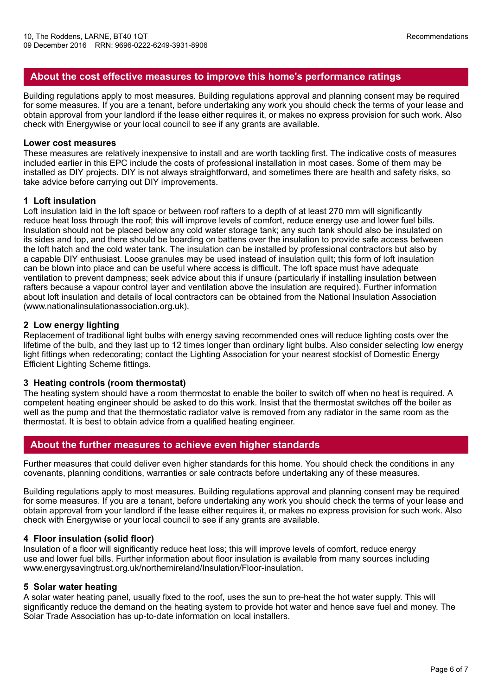## **About the cost effective measures to improve this home's performance ratings**

Building regulations apply to most measures. Building regulations approval and planning consent may be required for some measures. If you are a tenant, before undertaking any work you should check the terms of your lease and obtain approval from your landlord if the lease either requires it, or makes no express provision for such work. Also check with Energywise or your local council to see if any grants are available.

#### **Lower cost measures**

These measures are relatively inexpensive to install and are worth tackling first. The indicative costs of measures included earlier in this EPC include the costs of professional installation in most cases. Some of them may be installed as DIY projects. DIY is not always straightforward, and sometimes there are health and safety risks, so take advice before carrying out DIY improvements.

#### **1 Loft insulation**

Loft insulation laid in the loft space or between roof rafters to a depth of at least 270 mm will significantly reduce heat loss through the roof; this will improve levels of comfort, reduce energy use and lower fuel bills. Insulation should not be placed below any cold water storage tank; any such tank should also be insulated on its sides and top, and there should be boarding on battens over the insulation to provide safe access between the loft hatch and the cold water tank. The insulation can be installed by professional contractors but also by a capable DIY enthusiast. Loose granules may be used instead of insulation quilt; this form of loft insulation can be blown into place and can be useful where access is difficult. The loft space must have adequate ventilation to prevent dampness; seek advice about this if unsure (particularly if installing insulation between rafters because a vapour control layer and ventilation above the insulation are required). Further information about loft insulation and details of local contractors can be obtained from the National Insulation Association (www.nationalinsulationassociation.org.uk).

#### **2 Low energy lighting**

Replacement of traditional light bulbs with energy saving recommended ones will reduce lighting costs over the lifetime of the bulb, and they last up to 12 times longer than ordinary light bulbs. Also consider selecting low energy light fittings when redecorating; contact the Lighting Association for your nearest stockist of Domestic Energy Efficient Lighting Scheme fittings.

#### **3 Heating controls (room thermostat)**

The heating system should have a room thermostat to enable the boiler to switch off when no heat is required. A competent heating engineer should be asked to do this work. Insist that the thermostat switches off the boiler as well as the pump and that the thermostatic radiator valve is removed from any radiator in the same room as the thermostat. It is best to obtain advice from a qualified heating engineer.

## **About the further measures to achieve even higher standards**

Further measures that could deliver even higher standards for this home. You should check the conditions in any covenants, planning conditions, warranties or sale contracts before undertaking any of these measures.

Building regulations apply to most measures. Building regulations approval and planning consent may be required for some measures. If you are a tenant, before undertaking any work you should check the terms of your lease and obtain approval from your landlord if the lease either requires it, or makes no express provision for such work. Also check with Energywise or your local council to see if any grants are available.

#### **4 Floor insulation (solid floor)**

Insulation of a floor will significantly reduce heat loss; this will improve levels of comfort, reduce energy use and lower fuel bills. Further information about floor insulation is available from many sources including www.energysavingtrust.org.uk/northernireland/Insulation/Floor-insulation.

#### **5 Solar water heating**

A solar water heating panel, usually fixed to the roof, uses the sun to pre-heat the hot water supply. This will significantly reduce the demand on the heating system to provide hot water and hence save fuel and money. The Solar Trade Association has up-to-date information on local installers.